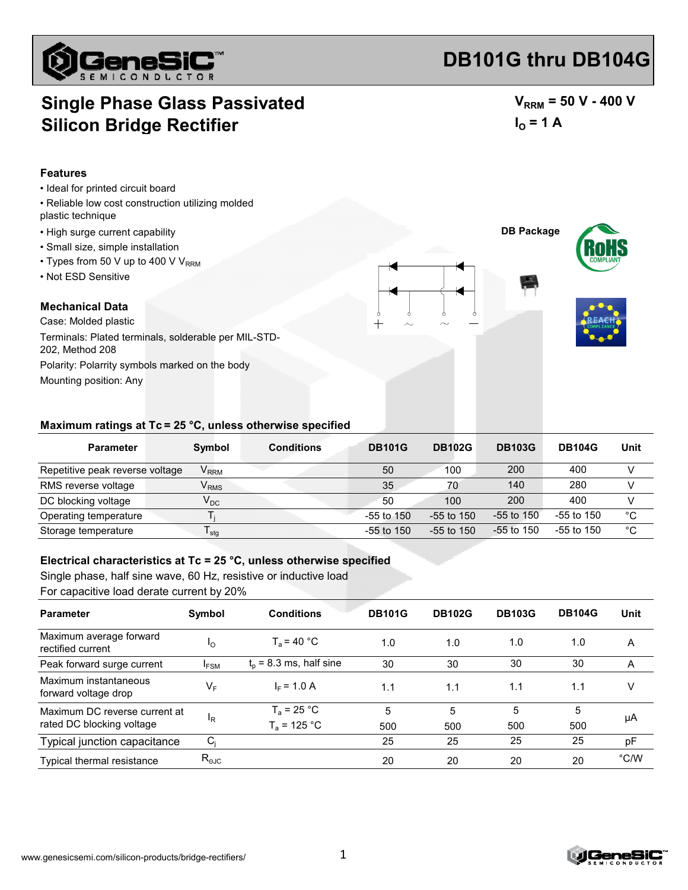

# **DB101G thru DB104G**

### **Single Phase Glass Passivated Silicon Bridge Rectifier**

 $V_{RRM}$  = 50 V - 400 V  $I_0 = 1 A$ 

#### **Features**

- Ideal for printed circuit board
- Reliable low cost construction utilizing molded plastic technique
- High surge current capability
- Small size, simple installation
- $\cdot$  Types from 50 V up to 400 V V<sub>RRM</sub>
- Not ESD Sensitive

### **Mechanical Data**

Case: Molded plastic Mounting position: Any Polarity: Polarrity symbols marked on the body Terminals: Plated terminals, solderable per MIL-STD-202, Method 208



#### **Maximum ratings at Tc = 25 °C, unless otherwise specified**

| <b>Parameter</b>                | Symbol                      | <b>Conditions</b> | <b>DB101G</b>  | <b>DB102G</b> | <b>DB103G</b> | <b>DB104G</b> | Unit         |
|---------------------------------|-----------------------------|-------------------|----------------|---------------|---------------|---------------|--------------|
| Repetitive peak reverse voltage | $V_{RRM}$                   |                   | 50             | 100           | 200           | 400           |              |
| RMS reverse voltage             | $\mathsf{V}_{\mathsf{RMS}}$ |                   | 35             | 70            | 140           | 280           |              |
| DC blocking voltage             | $V_{DC}$                    |                   | 50             | 100           | 200           | 400           |              |
| Operating temperature           |                             |                   | $-55$ to $150$ | -55 to 150    | $-55$ to 150  | $-55$ to 150  | $^{\circ}C$  |
| Storage temperature             | <sup>I</sup> stq            |                   | -55 to 150     | $-55$ to 150  | $-55$ to 150  | $-55$ to 150  | $^{\circ}$ C |

#### **Electrical characteristics at Tc = 25 °C, unless otherwise specified**

Single phase, half sine wave, 60 Hz, resistive or inductive load For capacitive load derate current by 20%

| <b>Parameter</b>                              | Symbol                | <b>Conditions</b>         | <b>DB101G</b> | <b>DB102G</b> | <b>DB103G</b> | <b>DB104G</b> | Unit |
|-----------------------------------------------|-----------------------|---------------------------|---------------|---------------|---------------|---------------|------|
| Maximum average forward<br>rectified current  | $\mathsf{I}_{\Omega}$ | $T_a$ = 40 °C             | 1.0           | 1.0           | 1.0           | 1.0           | A    |
| Peak forward surge current                    | <sup>I</sup> FSM      | $t_0$ = 8.3 ms, half sine | 30            | 30            | 30            | 30            | A    |
| Maximum instantaneous<br>forward voltage drop | VF                    | $IE = 1.0 A$              | 1.1           | 1.1           | 1.1           | 1.1           | v    |
| Maximum DC reverse current at                 |                       | $T_a = 25 °C$             | 5             | 5             | 5             | 5             | μA   |
| rated DC blocking voltage                     | ΙŖ                    | $T_a = 125 °C$            | 500           | 500           | 500           | 500           |      |
| Typical junction capacitance                  | C.                    |                           | 25            | 25            | 25            | 25            | pF   |
| Typical thermal resistance                    | $R_{\text{eJC}}$      |                           | 20            | 20            | 20            | 20            | °C/W |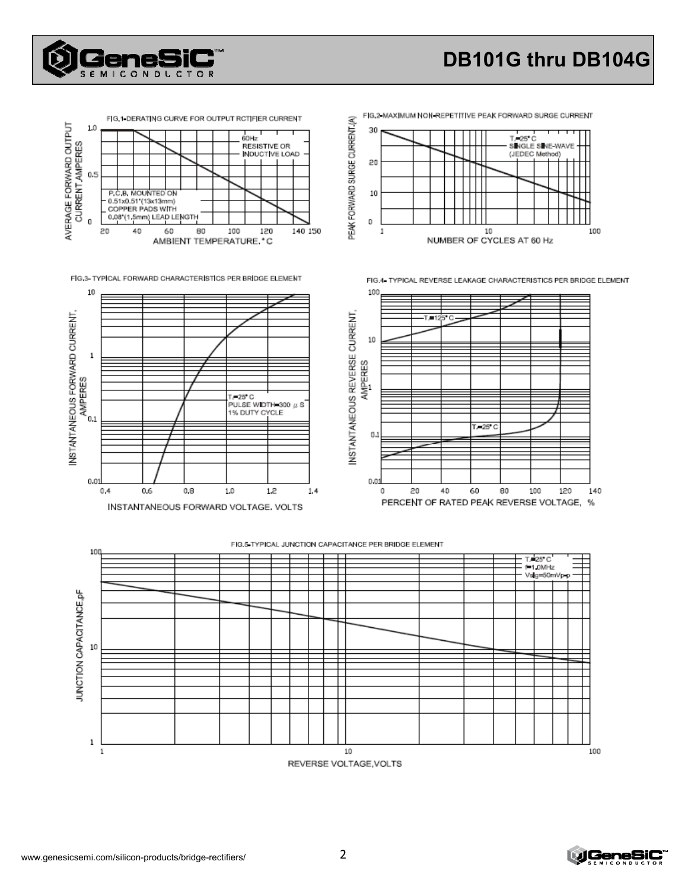

# **DB101G thru DB104G**



FIG.3- TYPICAL FORWARD CHARACTERISTICS PER BRIDGE ELEMENT





FIG.4- TYPICAL REVERSE LEAKAGE CHARACTERISTICS PER BRIDGE ELEMENT



#### FIG.5 TYPICAL JUNCTION CAPACITANCE PER BRIDGE ELEMENT